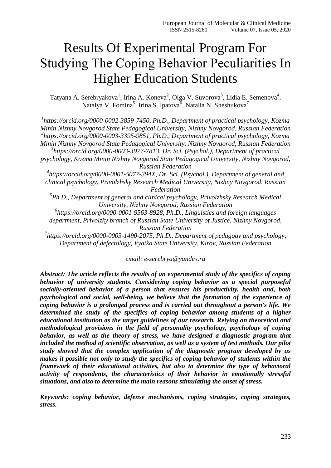# Results Of Experimental Program For Studying The Coрing Behavior Peculiarities In Higher Education Students

Tatyana A. Serebryakova<sup>1</sup>, Irina A. Koneva<sup>2</sup>, Olga V. Suvorova<sup>3</sup>, Lidia E. Semenova<sup>4</sup>, Natalya V. Fomina<sup>5</sup>, Irina S. Ipatova<sup>6</sup>, Natalia N. Sheshukova<sup>7</sup>

*1 [https://orcid.org/0000-0002-3859-7450,](https://orcid.org/0000-0002-3859-7450) Ph.D., Department of practical psychology, Kozma Minin Nizhny Novgorod State Pedagogical University, Nizhny Novgorod, Russian Federation 2 [https://orcid.org/0000-0003-3395-9851,](https://orcid.org/0000-0003-3395-9851) Ph.D., Department of practical psychology, Kozma Minin Nizhny Novgorod State Pedagogical University, Nizhny Novgorod, Russian Federation 3 [https://orcid.org/0000-0003-3977-7813,](https://orcid.org/0000-0003-3977-7813) Dr. Sci. (Psychol.), Department of practical psychology, Kozma Minin Nizhny Novgorod State Pedagogical University, Nizhny Novgorod, Russian Federation 4 [https://orcid.org/0000-0001-5077-394X,](https://orcid.org/0000-0001-5077-394X) Dr. Sci. (Psychol.), Department of general and clinical psychology, Privolzhsky Research Medical University, Nizhny Novgorod, Russian Federation 5 Ph.D., Department of general and clinical psychology, Privolzhsky Research Medical University, Nizhny Novgorod, Russian Federation 6 [https://orcid.org/0000-0001-9563-8928,](https://orcid.org/0000-0001-9563-8928) Ph.D., Linguistics and foreign languages department, Privolzky branch of Russian State University of Justice, Nizhny Novgorod, Russian Federation*

*7 [https://orcid.org/0000-0003-1490-2075,](https://orcid.org/0000-0003-1490-2075) Ph.D., Department of pedagogy and psychology, Department of defectology, Vyatka State University, Kirov, Russian Federation*

*email: e-serebrya@yandex.ru*

*Abstract: The article reflects the results of an experimental study of the specifics of coping behavior of university students. Considering coping behavior as a special purposeful socially-oriented behavior of a person that ensures his productivity, health and, both psychological and social, well-being, we believe that the formation of the experience of coping behavior is a prolonged process and is carried out throughout a person's life. We determined the study of the specifics of coping behavior among students of a higher educational institution as the target guidelines of our research. Relying on theoretical and methodological provisions in the field of personality psychology, psychology of coping behavior, as well as the theory of stress, we have designed a diagnostic program that included the method of scientific observation, as well as a system of test methods. Our pilot study showed that the complex application of the diagnostic program developed by us makes it possible not only to study the specifics of coping behavior of students within the framework of their educational activities, but also to determine the type of behavioral activity of respondents, the characteristics of their behavior in emotionally stressful situations, and also to determine the main reasons stimulating the onset of stress.*

*Keywords: coping behavior, defense mechanisms, coping strategies, coping strategies, stress.*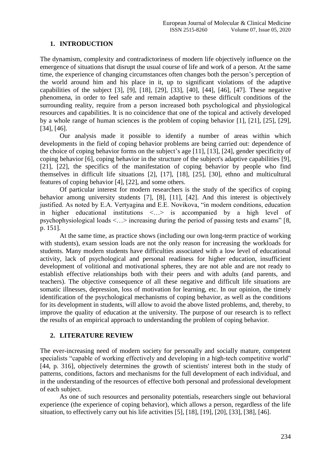#### **1. INTRODUCTION**

The dynamism, complexity and contradictoriness of modern life objectively influence on the emergence of situations that disrupt the usual course of life and work of a person. At the same time, the experience of changing circumstances often changes both the person's perception of the world around him and his place in it, up to significant violations of the adaptive capabilities of the subject [3], [9], [18], [29], [33], [40], [44], [46], [47]. These negative phenomena, in order to feel safe and remain adaptive to these difficult conditions of the surrounding reality, require from a person increased both psychological and physiological resources and capabilities. It is no coincidence that one of the topical and actively developed by a whole range of human sciences is the problem of coping behavior [1], [21], [25], [29], [34], [46].

Our analysis made it possible to identify a number of areas within which developments in the field of coping behavior problems are being carried out: dependence of the choice of coping behavior forms on the subject's age [11], [13], [24], gender specificity of coping behavior [6], coping behavior in the structure of the subject's adaptive capabilities [9], [21], [22], the specifics of the manifestation of coping behavior by people who find themselves in difficult life situations [2], [17], [18], [25], [30], ethno and multicultural features of coping behavior [4], [22], and some others.

Of particular interest for modern researchers is the study of the specifics of coping behavior among university students [7], [8], [11], [42]. And this interest is objectively justified. As noted by E.A. Vertyagina and E.E. Novikova, "in modern conditions, education in higher educational institutions <…> is accompanied by a high level of psychophysiological loads <…> increasing during the period of passing tests and exams" [8, p. 151].

At the same time, as practice shows (including our own long-term practice of working with students), exam session loads are not the only reason for increasing the workloads for students. Many modern students have difficulties associated with a low level of educational activity, lack of psychological and personal readiness for higher education, insufficient development of volitional and motivational spheres, they are not able and are not ready to establish effective relationships both with their peers and with adults (and parents, and teachers). The objective consequence of all these negative and difficult life situations are somatic illnesses, depression, loss of motivation for learning, etc. In our opinion, the timely identification of the psychological mechanisms of coping behavior, as well as the conditions for its development in students, will allow to avoid the above listed problems, and, thereby, to improve the quality of education at the university. The purpose of our research is to reflect the results of an empirical approach to understanding the problem of coping behavior.

### **2. LITERATURE REVIEW**

The ever-increasing need of modern society for personally and socially mature, competent specialists "capable of working effectively and developing in a high-tech competitive world" [44, p. 316], objectively determines the growth of scientists' interest both in the study of patterns, conditions, factors and mechanisms for the full development of each individual, and in the understanding of the resources of effective both personal and professional development of each subject.

As one of such resources and personality potentials, researchers single out behavioral experience (the experience of coping behavior), which allows a person, regardless of the life situation, to effectively carry out his life activities [5], [18], [19], [20], [33], [38], [46].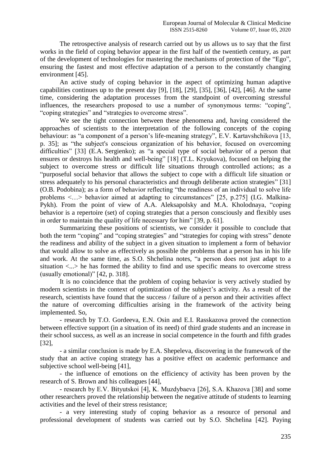The retrospective analysis of research carried out by us allows us to say that the first works in the field of coping behavior appear in the first half of the twentieth century, as part of the development of technologies for mastering the mechanisms of protection of the "Ego", ensuring the fastest and most effective adaptation of a person to the constantly changing environment [45].

An active study of coping behavior in the aspect of optimizing human adaptive capabilities continues up to the present day [9], [18], [29], [35], [36], [42], [46]. At the same time, considering the adaptation processes from the standpoint of overcoming stressful influences, the researchers proposed to use a number of synonymous terms: "coping", "coping strategies" and "strategies to overcome stress".

We see the tight connection between these phenomena and, having considered the approaches of scientists to the interpretation of the following concepts of the coping behaviour: as "a component of a person's life-meaning strategy", E.V. Kartavshchikova [13, p. 35]; as "the subject's conscious organization of his behavior, focused on overcoming difficulties" [33] (E.A. Sergienko); as "a special type of social behavior of a person that ensures or destroys his health and well-being" [18] (T.L. Kryukova), focused on helping the subject to overcome stress or difficult life situations through controlled actions; as a "purposeful social behavior that allows the subject to cope with a difficult life situation or stress adequately to his personal characteristics and through deliberate action strategies" [31] (O.B. Podobina); as a form of behavior reflecting "the readiness of an individual to solve life problems <…> behavior aimed at adapting to circumstances" [25, p.275] (I.G. Malkina-Pykh). From the point of view of A.A. Aleksapolsky and M.A. Kholodnaya, "coping behavior is a repertoire (set) of coping strategies that a person consciously and flexibly uses in order to maintain the quality of life necessary for him" [39, p. 61].

Summarizing these positions of scientists, we consider it possible to conclude that both the term "coping" and "coping strategies" and "strategies for coping with stress" denote the readiness and ability of the subject in a given situation to implement a form of behavior that would allow to solve as effectively as possible the problems that a person has in his life and work. At the same time, as S.O. Shchelina notes, "a person does not just adapt to a situation  $\langle ... \rangle$  he has formed the ability to find and use specific means to overcome stress (usually emotional)" [42, p. 318].

It is no coincidence that the problem of coping behavior is very actively studied by modern scientists in the context of optimization of the subject's activity. As a result of the research, scientists have found that the success / failure of a person and their activities affect the nature of overcoming difficulties arising in the framework of the activity being implemented. So,

- research by T.O. Gordeeva, E.N. Osin and E.I. Rasskazova proved the connection between effective support (in a situation of its need) of third grade students and an increase in their school success, as well as an increase in social competence in the fourth and fifth grades [32],

- a similar conclusion is made by E.A. Shepeleva, discovering in the framework of the study that an active coping strategy has a positive effect on academic performance and subjective school well-being [41],

- the influence of emotions on the efficiency of activity has been proven by the research of S. Brown and his colleagues [44],

- research by E.V. Bityutskoi [4], K. Muzdybaeva [26], S.А. Khazova [38] and some other researchers proved the relationship between the negative attitude of students to learning activities and the level of their stress resistance;

- a very interesting study of coping behavior as a resource of personal and professional development of students was carried out by S.O. Shchelina [42]. Paying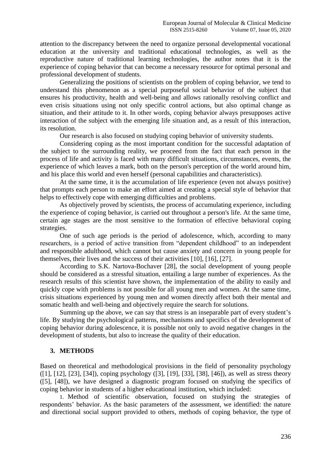attention to the discrepancy between the need to organize personal developmental vocational education at the university and traditional educational technologies, as well as the reproductive nature of traditional learning technologies, the author notes that it is the experience of coping behavior that can become a necessary resource for optimal personal and professional development of students.

Generalizing the positions of scientists on the problem of coping behavior, we tend to understand this phenomenon as a special purposeful social behavior of the subject that ensures his productivity, health and well-being and allows rationally resolving conflict and even crisis situations using not only specific control actions, but also optimal change as situation, and their attitude to it. In other words, coping behavior always presupposes active interaction of the subject with the emerging life situation and, as a result of this interaction, its resolution.

Our research is also focused on studying coping behavior of university students.

Considering coping as the most important condition for the successful adaptation of the subject to the surrounding reality, we proceed from the fact that each person in the process of life and activity is faced with many difficult situations, circumstances, events, the experience of which leaves a mark, both on the person's perception of the world around him, and his place this world and even herself (personal capabilities and characteristics).

At the same time, it is the accumulation of life experience (even not always positive) that prompts each person to make an effort aimed at creating a special style of behavior that helps to effectively cope with emerging difficulties and problems.

As objectively proved by scientists, the process of accumulating experience, including the experience of coping behavior, is carried out throughout a person's life. At the same time, certain age stages are the most sensitive to the formation of effective behavioral coping strategies.

One of such age periods is the period of adolescence, which, according to many researchers, is a period of active transition from "dependent childhood" to an independent and responsible adulthood, which cannot but cause anxiety and concern in young people for themselves, their lives and the success of their activities [10], [16], [27].

According to S.K. Nartova-Bochaver [28], the social development of young people should be considered as a stressful situation, entailing a large number of experiences. As the research results of this scientist have shown, the implementation of the ability to easily and quickly cope with problems is not possible for all young men and women. At the same time, crisis situations experienced by young men and women directly affect both their mental and somatic health and well-being and objectively require the search for solutions.

Summing up the above, we can say that stress is an inseparable part of every student's life. By studying the psychological patterns, mechanisms and specifics of the development of coping behavior during adolescence, it is possible not only to avoid negative changes in the development of students, but also to increase the quality of their education.

#### **3. METHODS**

Based on theoretical and methodological provisions in the field of personality psychology ([1], [12], [23], [34]), coping psychology ([3], [19], [33], [38], [46]), as well as stress theory ([5], [48]), we have designed a diagnostic program focused on studying the specifics of coping behavior in students of a higher educational institution, which included:

1. Method of scientific observation, focused on studying the strategies of respondents' behavior. As the basic parameters of the assessment, we identified: the nature and directional social support provided to others, methods of coping behavior, the type of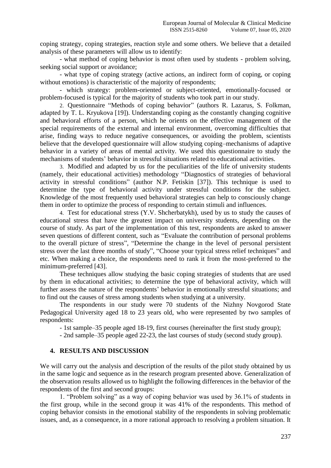coping strategy, coping strategies, reaction style and some others. We believe that a detailed analysis of these parameters will allow us to identify:

- what method of coping behavior is most often used by students - problem solving, seeking social support or avoidance;

- what type of coping strategy (active actions, an indirect form of coping, or coping without emotions) is characteristic of the majority of respondents;

- which strategy: problem-oriented or subject-oriented, emotionally-focused or problem-focused is typical for the majority of students who took part in our study.

2. Questionnaire "Methods of coping behavior" (authors R. Lazarus, S. Folkman, adapted by T. L. Kryukova [19]). Understanding coping as the constantly changing cognitive and behavioral efforts of a person, which he orients on the effective management of the special requirements of the external and internal environment, overcoming difficulties that arise, finding ways to reduce negative consequences, or avoiding the problem, scientists believe that the developed questionnaire will allow studying coping–mechanisms of adaptive behavior in a variety of areas of mental activity. We used this questionnaire to study the mechanisms of students' behavior in stressful situations related to educational activities.

3. Modified and adapted by us for the peculiarities of the life of university students (namely, their educational activities) methodology "Diagnostics of strategies of behavioral activity in stressful conditions" (author N.P. Fetiskin [37]). This technique is used to determine the type of behavioral activity under stressful conditions for the subject. Knowledge of the most frequently used behavioral strategies can help to consciously change them in order to optimize the process of responding to certain stimuli and influences.

4. Test for educational stress (Y.V. Shcherbatykh), used by us to study the causes of educational stress that have the greatest impact on university students, depending on the course of study. As part of the implementation of this test, respondents are asked to answer seven questions of different content, such as "Evaluate the contribution of personal problems to the overall picture of stress", "Determine the change in the level of personal persistent stress over the last three months of study", "Choose your typical stress relief techniques" and etc. When making a choice, the respondents need to rank it from the most-preferred to the minimum-preferred [43].

These techniques allow studying the basic coping strategies of students that are used by them in educational activities; to determine the type of behavioral activity, which will further assess the nature of the respondents' behavior in emotionally stressful situations; and to find out the causes of stress among students when studying at a university.

The respondents in our study were 70 students of the Nizhny Novgorod State Pedagogical University aged 18 to 23 years old, who were represented by two samples of respondents:

- 1st sample–35 people aged 18-19, first courses (hereinafter the first study group);

- 2nd sample–35 people aged 22-23, the last courses of study (second study group).

#### **4. RESULTS AND DISCUSSION**

We will carry out the analysis and description of the results of the pilot study obtained by us in the same logic and sequence as in the research program presented above. Generalization of the observation results allowed us to highlight the following differences in the behavior of the respondents of the first and second groups:

1. "Problem solving" as a way of coping behavior was used by 36.1% of students in the first group, while in the second group it was 41% of the respondents. This method of coping behavior consists in the emotional stability of the respondents in solving problematic issues, and, as a consequence, in a more rational approach to resolving a problem situation. It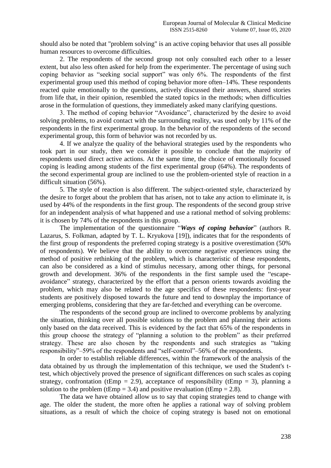should also be noted that "problem solving" is an active coping behavior that uses all possible human resources to overcome difficulties.

2. The respondents of the second group not only consulted each other to a lesser extent, but also less often asked for help from the experimenter. The percentage of using such coping behavior as "seeking social support" was only 6%. The respondents of the first experimental group used this method of coping behavior more often–14%. These respondents reacted quite emotionally to the questions, actively discussed their answers, shared stories from life that, in their opinion, resembled the stated topics in the methods; when difficulties arose in the formulation of questions, they immediately asked many clarifying questions.

3. The method of coping behavior "Avoidance", characterized by the desire to avoid solving problems, to avoid contact with the surrounding reality, was used only by 11% of the respondents in the first experimental group. In the behavior of the respondents of the second experimental group, this form of behavior was not recorded by us.

4. If we analyze the quality of the behavioral strategies used by the respondents who took part in our study, then we consider it possible to conclude that the majority of respondents used direct active actions. At the same time, the choice of emotionally focused coping is leading among students of the first experimental group (64%). The respondents of the second experimental group are inclined to use the problem-oriented style of reaction in a difficult situation (56%).

5. The style of reaction is also different. The subject-oriented style, characterized by the desire to forget about the problem that has arisen, not to take any action to eliminate it, is used by 44% of the respondents in the first group. The respondents of the second group strive for an independent analysis of what happened and use a rational method of solving problems: it is chosen by 74% of the respondents in this group.

The implementation of the questionnaire "*Ways of coping behavior*" (authors R. Lazarus, S. Folkman, adapted by T. L. Kryukova [19]), indicates that for the respondents of the first group of respondents the preferred coping strategy is a positive overestimation (50% of respondents). We believe that the ability to overcome negative experiences using the method of positive rethinking of the problem, which is characteristic of these respondents, can also be considered as a kind of stimulus necessary, among other things, for personal growth and development. 36% of the respondents in the first sample used the "escapeavoidance" strategy, characterized by the effort that a person orients towards avoiding the problem, which may also be related to the age specifics of these respondents: first-year students are positively disposed towards the future and tend to downplay the importance of emerging problems, considering that they are far-fetched and everything can be overcome.

The respondents of the second group are inclined to overcome problems by analyzing the situation, thinking over all possible solutions to the problem and planning their actions only based on the data received. This is evidenced by the fact that 65% of the respondents in this group choose the strategy of "planning a solution to the problem" as their preferred strategy. These are also chosen by the respondents and such strategies as "taking responsibility"–59% of the respondents and "self-control"–56% of the respondents.

In order to establish reliable differences, within the framework of the analysis of the data obtained by us through the implementation of this technique, we used the Student's ttest, which objectively proved the presence of significant differences on such scales as coping strategy, confrontation (tEmp = 2.9), acceptance of responsibility (tEmp = 3), planning a solution to the problem (tEmp = 3.4) and positive revaluation (tEmp = 2.8).

The data we have obtained allow us to say that coping strategies tend to change with age. The older the student, the more often he applies a rational way of solving problem situations, as a result of which the choice of coping strategy is based not on emotional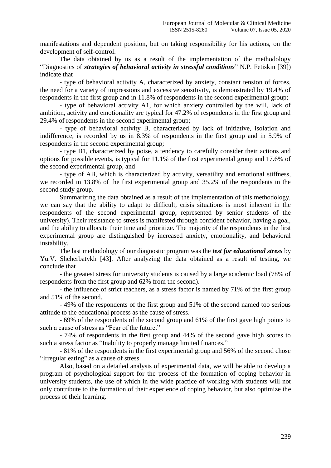manifestations and dependent position, but on taking responsibility for his actions, on the development of self-control.

The data obtained by us as a result of the implementation of the methodology "Diagnostics of *strategies of behavioral activity in stressful conditions*" N.P. Fetiskin [39]) indicate that

- type of behavioral activity A, characterized by anxiety, constant tension of forces, the need for a variety of impressions and excessive sensitivity, is demonstrated by 19.4% of respondents in the first group and in 11.8% of respondents in the second experimental group;

- type of behavioral activity A1, for which anxiety controlled by the will, lack of ambition, activity and emotionality are typical for 47.2% of respondents in the first group and 29.4% of respondents in the second experimental group;

- type of behavioral activity B, characterized by lack of initiative, isolation and indifference, is recorded by us in 8.3% of respondents in the first group and in 5.9% of respondents in the second experimental group;

- type B1, characterized by poise, a tendency to carefully consider their actions and options for possible events, is typical for 11.1% of the first experimental group and 17.6% of the second experimental group, and

- type of AB, which is characterized by activity, versatility and emotional stiffness, we recorded in 13.8% of the first experimental group and 35.2% of the respondents in the second study group.

Summarizing the data obtained as a result of the implementation of this methodology, we can say that the ability to adapt to difficult, crisis situations is most inherent in the respondents of the second experimental group, represented by senior students of the university). Their resistance to stress is manifested through confident behavior, having a goal, and the ability to allocate their time and prioritize. The majority of the respondents in the first experimental group are distinguished by increased anxiety, emotionality, and behavioral instability.

The last methodology of our diagnostic program was the *test for educational stress* by Yu.V. Shcherbatykh [43]. After analyzing the data obtained as a result of testing, we conclude that

- the greatest stress for university students is caused by a large academic load (78% of respondents from the first group and 62% from the second).

- the influence of strict teachers, as a stress factor is named by 71% of the first group and 51% of the second.

- 49% of the respondents of the first group and 51% of the second named too serious attitude to the educational process as the cause of stress.

- 69% of the respondents of the second group and 61% of the first gave high points to such a cause of stress as "Fear of the future."

- 74% of respondents in the first group and 44% of the second gave high scores to such a stress factor as "Inability to properly manage limited finances."

- 81% of the respondents in the first experimental group and 56% of the second chose "Irregular eating" as a cause of stress.

Also, based on a detailed analysis of experimental data, we will be able to develop a program of psychological support for the process of the formation of coping behavior in university students, the use of which in the wide practice of working with students will not only contribute to the formation of their experience of coping behavior, but also optimize the process of their learning.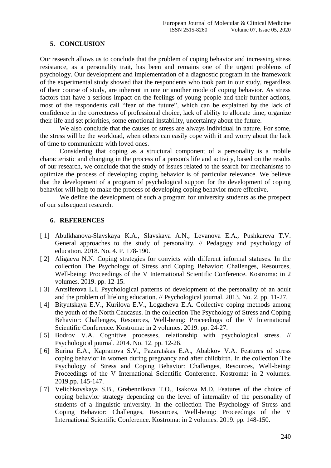## **5. CONCLUSION**

Our research allows us to conclude that the problem of coping behavior and increasing stress resistance, as a personality trait, has been and remains one of the urgent problems of psychology. Our development and implementation of a diagnostic program in the framework of the experimental study showed that the respondents who took part in our study, regardless of their course of study, are inherent in one or another mode of coping behavior. As stress factors that have a serious impact on the feelings of young people and their further actions, most of the respondents call "fear of the future", which can be explained by the lack of confidence in the correctness of professional choice, lack of ability to allocate time, organize their life and set priorities, some emotional instability, uncertainty about the future.

We also conclude that the causes of stress are always individual in nature. For some, the stress will be the workload, when others can easily cope with it and worry about the lack of time to communicate with loved ones.

Considering that coping as a structural component of a personality is a mobile characteristic and changing in the process of a person's life and activity, based on the results of our research, we conclude that the study of issues related to the search for mechanisms to optimize the process of developing coping behavior is of particular relevance. We believe that the development of a program of psychological support for the development of coping behavior will help to make the process of developing coping behavior more effective.

We define the development of such a program for university students as the prospect of our subsequent research.

#### **6. REFERENCES**

- [ 1] Abulkhanova-Slavskaya K.A., Slavskaya A.N., Levanova E.A., Pushkareva T.V. General approaches to the study of personality. // Pedagogy and psychology of education. 2018. No. 4. P. 178-190.
- [2] Aligaeva N.N. Coping strategies for convicts with different informal statuses. In the collection The Psychology of Stress and Coping Behavior: Challenges, Resources, Well-being: Proceedings of the V International Scientific Conference. Kostroma: in 2 volumes. 2019. pp. 12-15.
- [3] Antsiferova L.I. Psychological patterns of development of the personality of an adult and the problem of lifelong education. // Psychological journal. 2013. No. 2. pp. 11-27.
- [ 4] Bityutskaya E.V., Kurilova E.V., Logacheva E.A. Collective coping methods among the youth of the North Caucasus. In the collection The Psychology of Stress and Coping Behavior: Challenges, Resources, Well-being: Proceedings of the V International Scientific Conference. Kostroma: in 2 volumes. 2019. pp. 24-27.
- [ 5] Bodrov V.A. Cognitive processes, relationship with psychological stress. // Psychological journal. 2014. No. 12. pp. 12-26.
- [ 6] Burina E.A., Kapranova S.V., Pazaratskas E.A., Ababkov V.A. Features of stress coping behavior in women during pregnancy and after childbirth. In the collection The Psychology of Stress and Coping Behavior: Challenges, Resources, Well-being: Proceedings of the V International Scientific Conference. Kostroma: in 2 volumes. 2019.pp. 145-147.
- [ 7] Velichkovskaya S.B., Grebennikova T.O., Isakova M.D. Features of the choice of coping behavior strategy depending on the level of internality of the personality of students of a linguistic university. In the collection The Psychology of Stress and Coping Behavior: Challenges, Resources, Well-being: Proceedings of the International Scientific Conference. Kostroma: in 2 volumes. 2019. pp. 148-150.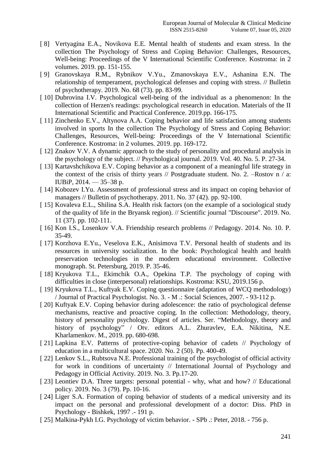- [ 8] Vertyagina E.A., Novikova E.E. Mental health of students and exam stress. In the collection The Psychology of Stress and Coping Behavior: Challenges, Resources, Well-being: Proceedings of the V International Scientific Conference. Kostroma: in 2 volumes. 2019. pp. 151-155.
- [ 9] Granovskaya R.M., Rybnikov V.Yu., Zmanovskaya E.V., Ashanina E.N. The relationship of temperament, psychological defenses and coping with stress. // Bulletin of psychotherapy. 2019. No. 68 (73). pp. 83-99.
- [10] Dubrovina I.V. Psychological well-being of the individual as a phenomenon: In the collection of Herzen's readings: psychological research in education. Materials of the II International Scientific and Practical Conference. 2019.pp. 166-175.
- [11] Zinchenko E.V., Altynova A.A. Coping behavior and life satisfaction among students involved in sports In the collection The Psychology of Stress and Coping Behavior: Challenges, Resources, Well-being: Proceedings of the V International Scientific Conference. Kostroma: in 2 volumes. 2019. pp. 169-172.
- [12] Znakov V.V. A dynamic approach to the study of personality and procedural analysis in the psychology of the subject. // Psychological journal. 2019. Vol. 40. No. 5. P. 27-34.
- [13] Kartavshchikova E.V. Coping behavior as a component of a meaningful life strategy in the context of the crisis of thirty years  $//$  Postgraduate student. No. 2. –Rostov n  $/$  a: IUBiP,  $2014. - 35 - 38$  p.
- [14] Kobozev I.Yu. Assessment of professional stress and its impact on coping behavior of managers // Bulletin of psychotherapy. 2011. No. 37 (42). pp. 92-100.
- [ 15] Kovaleva E.L., Shilina S.A. Health risk factors (on the example of a sociological study of the quality of life in the Bryansk region). // Scientific journal "Discourse". 2019. No. 11 (37). pp. 102-111.
- [ 16] Kon I.S., Losenkov V.A. Friendship research problems // Pedagogy. 2014. No. 10. P. 35-49.
- [ 17] Korzhova E.Yu., Veselova E.K., Anisimova T.V. Personal health of students and its resources in university socialization. In the book: Psychological health and health preservation technologies in the modern educational environment. Collective monograph. St. Petersburg, 2019. P. 35-46.
- [18] Kryukova T.L., Ekimchik O.A., Opekina T.P. The psychology of coping with difficulties in close (interpersonal) relationships. Kostroma: KSU, 2019.156 p.
- [ 19] Kryukova T.L., Kuftyak E.V. Coping questionnaire (adaptation of WCQ methodology) / Journal of Practical Psychologist. No. 3. - M .: Social Sciences, 2007. - 93-112 p.
- [ 20] Kuftyak E.V. Coping behavior during adolescence: the ratio of psychological defense mechanisms, reactive and proactive coping. In the collection: Methodology, theory, history of personality psychology. Digest of articles. Ser. "Methodology, theory and history of psychology" / Otv. editors A.L. Zhuravlev, E.A. Nikitina, N.E. Kharlamenkov. M., 2019. pp. 680-698.
- [ 21] Lapkina E.V. Patterns of protective-coping behavior of cadets // Psychology of education in a multicultural space. 2020. No. 2 (50). Pp. 400-49.
- [ 22] Lenkov S.L., Rubtsova N.E. Professional training of the psychologist of official activity for work in conditions of uncertainty // International Journal of Psychology and Pedagogy in Official Activity. 2019. No. 3. Pp.17-20.
- [ 23] Leontiev D.A. Three targets: personal potential why, what and how? // Educational policy. 2019. No. 3 (79). Pp. 10-16.
- [ 24] Liger S.A. Formation of coping behavior of students of a medical university and its impact on the personal and professional development of a doctor: Diss. PhD in Psychology - Bishkek, 1997 .- 191 p.
- [ 25] Malkina-Pykh I.G. Psychology of victim behavior. SPb .: Peter, 2018. 756 p.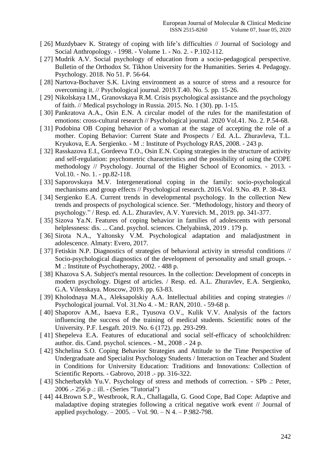- [ 26] Muzdybaev K. Strategy of coping with life's difficulties  $//$  Journal of Sociology and Social Anthropology. - 1998. - Volume 1. - No. 2. - P.102-112.
- [ 27] Mudrik A.V. Social psychology of education from a socio-pedagogical perspective. Bulletin of the Orthodox St. Tikhon University for the Humanities. Series 4. Pedagogy. Psychology. 2018. No 51. P. 56-64.
- [ 28] Nartova-Bochaver S.K. Living environment as a source of stress and a resource for overcoming it. // Psychological journal. 2019.T.40. No. 5. pp. 15-26.
- [ 29] Nikolskaya I.M., Granovskaya R.M. Crisis psychological assistance and the psychology of faith. // Medical psychology in Russia. 2015. No. 1 (30). pp. 1-15.
- [30] Pankratova A.A., Osin E.N. A circular model of the rules for the manifestation of emotions: cross-cultural research // Psychological journal. 2020 Vol.41. No. 2. P.54-68.
- [31] Podobina OB Coping behavior of a woman at the stage of accepting the role of a mother. Coping Behavior: Current State and Prospects / Ed. A.L. Zhuravleva, T.L. Kryukova, E.A. Sergienko. - M .: Institute of Psychology RAS, 2008. - 243 p.
- [ 32] Rasskazova E.I., Gordeeva T.O., Osin E.N. Coping strategies in the structure of activity and self-regulation: psychometric characteristics and the possibility of using the COPE methodology // Psychology. Journal of the Higher School of Economics. - 2013. - Vol.10. - No. 1. - pp.82-118.
- [ 33] Saporovskaya M.V. Intergenerational coping in the family: socio-psychological mechanisms and group effects // Psychological research. 2016.Vol. 9.No. 49. P. 38-43.
- [34] Sergienko E.A. Current trends in developmental psychology. In the collection New trends and prospects of psychological science. Ser. "Methodology, history and theory of psychology." / Resp. ed. A.L. Zhuravlev, A.V. Yurevich. M., 2019. pp. 341-377.
- [ 35] Sizova Ya.N. Features of coping behavior in families of adolescents with personal helplessness: dis. ... Cand. psychol. sciences. Chelyabinsk, 2019 . 179 p.
- [ 36] Sirota N.A., Yaltonsky V.M. Psychological adaptation and maladjustment in adolescence. Almaty: Evero, 2017.
- [ 37] Fetiskin N.P. Diagnostics of strategies of behavioral activity in stressful conditions // Socio-psychological diagnostics of the development of personality and small groups. - M .: Institute of Psychotherapy, 2002. - 488 p.
- [ 38] Khazova S.A. Subject's mental resources. In the collection: Development of concepts in modern psychology. Digest of articles. / Resp. ed. A.L. Zhuravlev, E.A. Sergienko, G.A. Vilenskaya. Moscow, 2019. pp. 63-83.
- [ 39] Kholodnaya M.A., Aleksapolskiy A.A. Intellectual abilities and coping strategies // Psychological journal. Vol. 31.No 4. - M.: RAN, 2010. - 59-68 p.
- [40] Shaporov A.M., Isaeva E.R., Tyusova O.V., Kulik V.V. Analysis of the factors influencing the success of the training of medical students. Scientific notes of the University. P.F. Lesgaft. 2019. No. 6 (172). pp. 293-299.
- [41] Shepeleva E.A. Features of educational and social self-efficacy of schoolchildren: author. dis. Cand. psychol. sciences. - M., 2008 .- 24 p.
- [ 42] Shchelina S.O. Coping Behavior Strategies and Attitude to the Time Perspective of Undergraduate and Specialist Psychology Students / Interaction on Teacher and Student in Conditions for University Education: Traditions and Innovations: Collection of Scientific Reports. - Gabrovo, 2018 .- pp. 316-322.
- [ 43] Shcherbatykh Yu.V. Psychology of stress and methods of correction. SPb .: Peter, 2006 .- 256 p .: ill. - (Series "Tutorial")
- [44] 44.Brown S.P., Westbrook, R.A., Challagalla, G. Good Cope, Bad Cope: Adaptive and maladaptive doping strategies following a critical negative work event // Journal of applied psychology. – 2005. – Vol. 90. – N 4. – P.982-798.